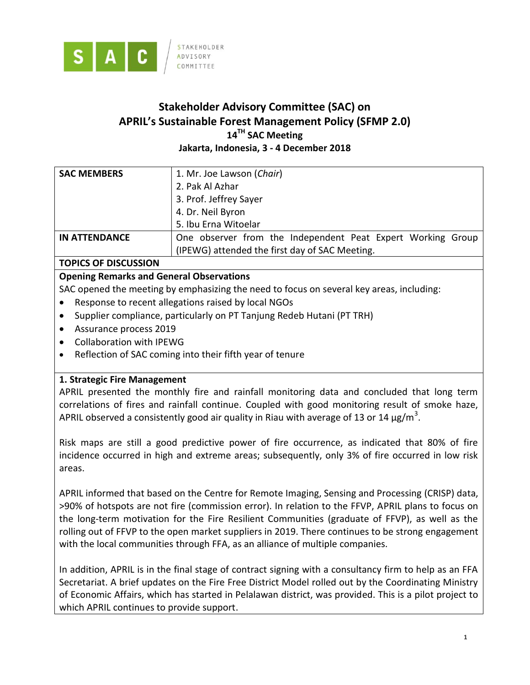

# **Stakeholder Advisory Committee (SAC) on APRIL's Sustainable Forest Management Policy (SFMP 2.0) 14 TH SAC Meeting Jakarta, Indonesia, 3 - 4 December 2018**

| <b>SAC MEMBERS</b>   | 1. Mr. Joe Lawson (Chair)                                   |
|----------------------|-------------------------------------------------------------|
|                      | 2. Pak Al Azhar                                             |
|                      | 3. Prof. Jeffrey Sayer                                      |
|                      | 4. Dr. Neil Byron                                           |
|                      | 5. Ibu Erna Witoelar                                        |
| <b>IN ATTENDANCE</b> | One observer from the Independent Peat Expert Working Group |
|                      | (IPEWG) attended the first day of SAC Meeting.              |

# **TOPICS OF DISCUSSION**

# **Opening Remarks and General Observations**

SAC opened the meeting by emphasizing the need to focus on several key areas, including:

- Response to recent allegations raised by local NGOs
- Supplier compliance, particularly on PT Tanjung Redeb Hutani (PT TRH)
- Assurance process 2019
- Collaboration with IPEWG
- Reflection of SAC coming into their fifth year of tenure

### **1. Strategic Fire Management**

APRIL presented the monthly fire and rainfall monitoring data and concluded that long term correlations of fires and rainfall continue. Coupled with good monitoring result of smoke haze, APRIL observed a consistently good air quality in Riau with average of 13 or 14  $\mu$ g/m<sup>3</sup>.

Risk maps are still a good predictive power of fire occurrence, as indicated that 80% of fire incidence occurred in high and extreme areas; subsequently, only 3% of fire occurred in low risk areas.

APRIL informed that based on the Centre for Remote Imaging, Sensing and Processing (CRISP) data, >90% of hotspots are not fire (commission error). In relation to the FFVP, APRIL plans to focus on the long-term motivation for the Fire Resilient Communities (graduate of FFVP), as well as the rolling out of FFVP to the open market suppliers in 2019. There continues to be strong engagement with the local communities through FFA, as an alliance of multiple companies.

In addition, APRIL is in the final stage of contract signing with a consultancy firm to help as an FFA Secretariat. A brief updates on the Fire Free District Model rolled out by the Coordinating Ministry of Economic Affairs, which has started in Pelalawan district, was provided. This is a pilot project to which APRIL continues to provide support.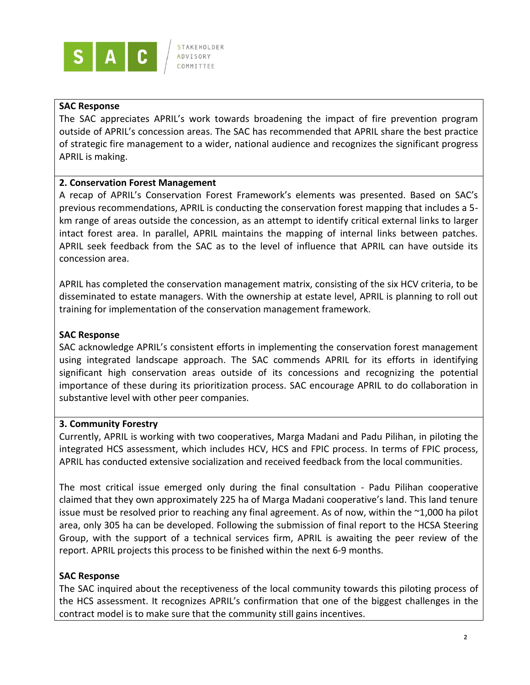

### **SAC Response**

The SAC appreciates APRIL's work towards broadening the impact of fire prevention program outside of APRIL's concession areas. The SAC has recommended that APRIL share the best practice of strategic fire management to a wider, national audience and recognizes the significant progress APRIL is making.

### **2. Conservation Forest Management**

A recap of APRIL's Conservation Forest Framework's elements was presented. Based on SAC's previous recommendations, APRIL is conducting the conservation forest mapping that includes a 5 km range of areas outside the concession, as an attempt to identify critical external links to larger intact forest area. In parallel, APRIL maintains the mapping of internal links between patches. APRIL seek feedback from the SAC as to the level of influence that APRIL can have outside its concession area.

APRIL has completed the conservation management matrix, consisting of the six HCV criteria, to be disseminated to estate managers. With the ownership at estate level, APRIL is planning to roll out training for implementation of the conservation management framework.

# **SAC Response**

SAC acknowledge APRIL's consistent efforts in implementing the conservation forest management using integrated landscape approach. The SAC commends APRIL for its efforts in identifying significant high conservation areas outside of its concessions and recognizing the potential importance of these during its prioritization process. SAC encourage APRIL to do collaboration in substantive level with other peer companies.

### **3. Community Forestry**

Currently, APRIL is working with two cooperatives, Marga Madani and Padu Pilihan, in piloting the integrated HCS assessment, which includes HCV, HCS and FPIC process. In terms of FPIC process, APRIL has conducted extensive socialization and received feedback from the local communities.

The most critical issue emerged only during the final consultation - Padu Pilihan cooperative claimed that they own approximately 225 ha of Marga Madani cooperative's land. This land tenure issue must be resolved prior to reaching any final agreement. As of now, within the ~1,000 ha pilot area, only 305 ha can be developed. Following the submission of final report to the HCSA Steering Group, with the support of a technical services firm, APRIL is awaiting the peer review of the report. APRIL projects this process to be finished within the next 6-9 months.

# **SAC Response**

The SAC inquired about the receptiveness of the local community towards this piloting process of the HCS assessment. It recognizes APRIL's confirmation that one of the biggest challenges in the contract model is to make sure that the community still gains incentives.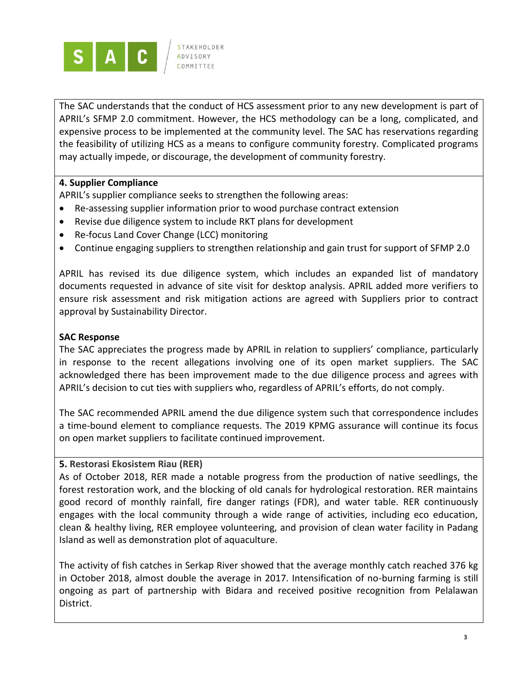

The SAC understands that the conduct of HCS assessment prior to any new development is part of APRIL's SFMP 2.0 commitment. However, the HCS methodology can be a long, complicated, and expensive process to be implemented at the community level. The SAC has reservations regarding the feasibility of utilizing HCS as a means to configure community forestry. Complicated programs may actually impede, or discourage, the development of community forestry.

# **4. Supplier Compliance**

APRIL's supplier compliance seeks to strengthen the following areas:

- Re-assessing supplier information prior to wood purchase contract extension
- Revise due diligence system to include RKT plans for development
- Re-focus Land Cover Change (LCC) monitoring
- Continue engaging suppliers to strengthen relationship and gain trust for support of SFMP 2.0

APRIL has revised its due diligence system, which includes an expanded list of mandatory documents requested in advance of site visit for desktop analysis. APRIL added more verifiers to ensure risk assessment and risk mitigation actions are agreed with Suppliers prior to contract approval by Sustainability Director.

### **SAC Response**

The SAC appreciates the progress made by APRIL in relation to suppliers' compliance, particularly in response to the recent allegations involving one of its open market suppliers. The SAC acknowledged there has been improvement made to the due diligence process and agrees with APRIL's decision to cut ties with suppliers who, regardless of APRIL's efforts, do not comply.

The SAC recommended APRIL amend the due diligence system such that correspondence includes a time-bound element to compliance requests. The 2019 KPMG assurance will continue its focus on open market suppliers to facilitate continued improvement.

### **5. Restorasi Ekosistem Riau (RER)**

As of October 2018, RER made a notable progress from the production of native seedlings, the forest restoration work, and the blocking of old canals for hydrological restoration. RER maintains good record of monthly rainfall, fire danger ratings (FDR), and water table. RER continuously engages with the local community through a wide range of activities, including eco education, clean & healthy living, RER employee volunteering, and provision of clean water facility in Padang Island as well as demonstration plot of aquaculture.

The activity of fish catches in Serkap River showed that the average monthly catch reached 376 kg in October 2018, almost double the average in 2017. Intensification of no-burning farming is still ongoing as part of partnership with Bidara and received positive recognition from Pelalawan District.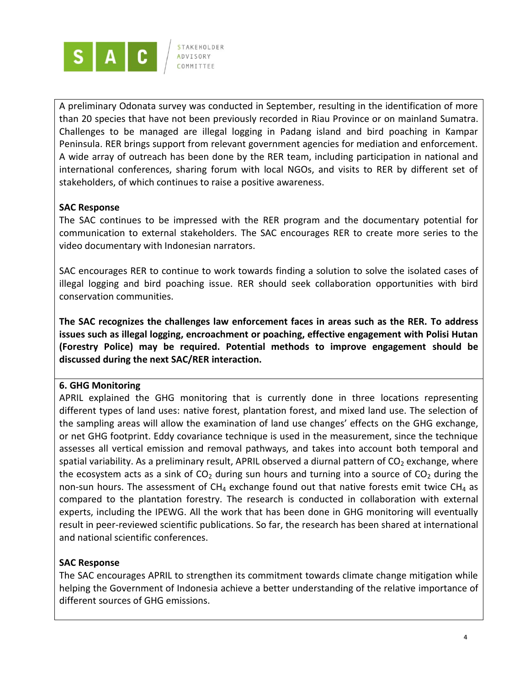

A preliminary Odonata survey was conducted in September, resulting in the identification of more than 20 species that have not been previously recorded in Riau Province or on mainland Sumatra. Challenges to be managed are illegal logging in Padang island and bird poaching in Kampar Peninsula. RER brings support from relevant government agencies for mediation and enforcement. A wide array of outreach has been done by the RER team, including participation in national and international conferences, sharing forum with local NGOs, and visits to RER by different set of stakeholders, of which continues to raise a positive awareness.

### **SAC Response**

The SAC continues to be impressed with the RER program and the documentary potential for communication to external stakeholders. The SAC encourages RER to create more series to the video documentary with Indonesian narrators.

SAC encourages RER to continue to work towards finding a solution to solve the isolated cases of illegal logging and bird poaching issue. RER should seek collaboration opportunities with bird conservation communities.

**The SAC recognizes the challenges law enforcement faces in areas such as the RER. To address issues such as illegal logging, encroachment or poaching, effective engagement with Polisi Hutan (Forestry Police) may be required. Potential methods to improve engagement should be discussed during the next SAC/RER interaction.**

### **6. GHG Monitoring**

APRIL explained the GHG monitoring that is currently done in three locations representing different types of land uses: native forest, plantation forest, and mixed land use. The selection of the sampling areas will allow the examination of land use changes' effects on the GHG exchange, or net GHG footprint. Eddy covariance technique is used in the measurement, since the technique assesses all vertical emission and removal pathways, and takes into account both temporal and spatial variability. As a preliminary result, APRIL observed a diurnal pattern of  $CO<sub>2</sub>$  exchange, where the ecosystem acts as a sink of  $CO<sub>2</sub>$  during sun hours and turning into a source of  $CO<sub>2</sub>$  during the non-sun hours. The assessment of  $CH_4$  exchange found out that native forests emit twice  $CH_4$  as compared to the plantation forestry. The research is conducted in collaboration with external experts, including the IPEWG. All the work that has been done in GHG monitoring will eventually result in peer-reviewed scientific publications. So far, the research has been shared at international and national scientific conferences.

### **SAC Response**

The SAC encourages APRIL to strengthen its commitment towards climate change mitigation while helping the Government of Indonesia achieve a better understanding of the relative importance of different sources of GHG emissions.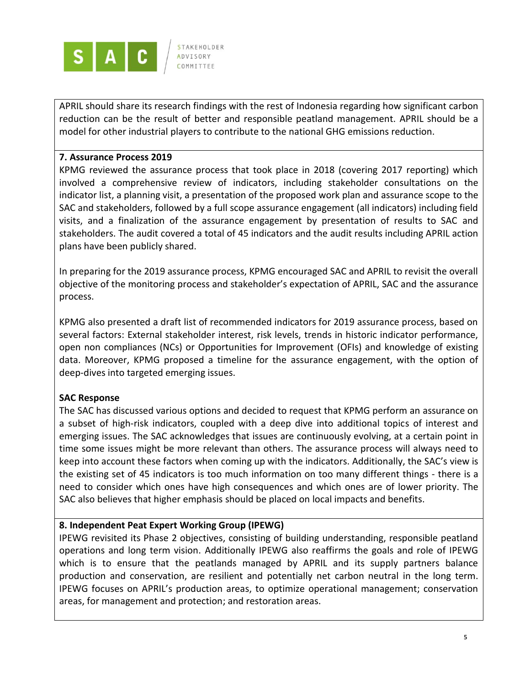

APRIL should share its research findings with the rest of Indonesia regarding how significant carbon reduction can be the result of better and responsible peatland management. APRIL should be a model for other industrial players to contribute to the national GHG emissions reduction.

#### **7. Assurance Process 2019**

KPMG reviewed the assurance process that took place in 2018 (covering 2017 reporting) which involved a comprehensive review of indicators, including stakeholder consultations on the indicator list, a planning visit, a presentation of the proposed work plan and assurance scope to the SAC and stakeholders, followed by a full scope assurance engagement (all indicators) including field visits, and a finalization of the assurance engagement by presentation of results to SAC and stakeholders. The audit covered a total of 45 indicators and the audit results including APRIL action plans have been publicly shared.

In preparing for the 2019 assurance process, KPMG encouraged SAC and APRIL to revisit the overall objective of the monitoring process and stakeholder's expectation of APRIL, SAC and the assurance process.

KPMG also presented a draft list of recommended indicators for 2019 assurance process, based on several factors: External stakeholder interest, risk levels, trends in historic indicator performance, open non compliances (NCs) or Opportunities for Improvement (OFIs) and knowledge of existing data. Moreover, KPMG proposed a timeline for the assurance engagement, with the option of deep-dives into targeted emerging issues.

### **SAC Response**

The SAC has discussed various options and decided to request that KPMG perform an assurance on a subset of high-risk indicators, coupled with a deep dive into additional topics of interest and emerging issues. The SAC acknowledges that issues are continuously evolving, at a certain point in time some issues might be more relevant than others. The assurance process will always need to keep into account these factors when coming up with the indicators. Additionally, the SAC's view is the existing set of 45 indicators is too much information on too many different things - there is a need to consider which ones have high consequences and which ones are of lower priority. The SAC also believes that higher emphasis should be placed on local impacts and benefits.

### **8. Independent Peat Expert Working Group (IPEWG)**

IPEWG revisited its Phase 2 objectives, consisting of building understanding, responsible peatland operations and long term vision. Additionally IPEWG also reaffirms the goals and role of IPEWG which is to ensure that the peatlands managed by APRIL and its supply partners balance production and conservation, are resilient and potentially net carbon neutral in the long term. IPEWG focuses on APRIL's production areas, to optimize operational management; conservation areas, for management and protection; and restoration areas.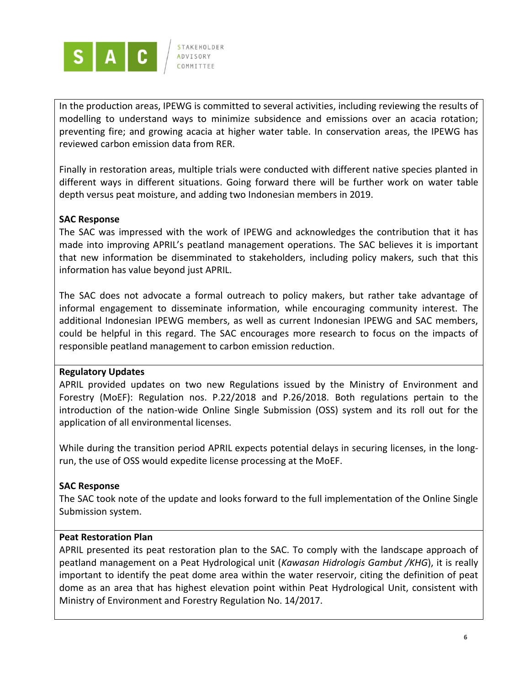

In the production areas, IPEWG is committed to several activities, including reviewing the results of modelling to understand ways to minimize subsidence and emissions over an acacia rotation; preventing fire; and growing acacia at higher water table. In conservation areas, the IPEWG has reviewed carbon emission data from RER.

Finally in restoration areas, multiple trials were conducted with different native species planted in different ways in different situations. Going forward there will be further work on water table depth versus peat moisture, and adding two Indonesian members in 2019.

### **SAC Response**

The SAC was impressed with the work of IPEWG and acknowledges the contribution that it has made into improving APRIL's peatland management operations. The SAC believes it is important that new information be disemminated to stakeholders, including policy makers, such that this information has value beyond just APRIL.

The SAC does not advocate a formal outreach to policy makers, but rather take advantage of informal engagement to disseminate information, while encouraging community interest. The additional Indonesian IPEWG members, as well as current Indonesian IPEWG and SAC members, could be helpful in this regard. The SAC encourages more research to focus on the impacts of responsible peatland management to carbon emission reduction.

#### **Regulatory Updates**

APRIL provided updates on two new Regulations issued by the Ministry of Environment and Forestry (MoEF): Regulation nos. P.22/2018 and P.26/2018. Both regulations pertain to the introduction of the nation-wide Online Single Submission (OSS) system and its roll out for the application of all environmental licenses.

While during the transition period APRIL expects potential delays in securing licenses, in the longrun, the use of OSS would expedite license processing at the MoEF.

### **SAC Response**

The SAC took note of the update and looks forward to the full implementation of the Online Single Submission system.

#### **Peat Restoration Plan**

APRIL presented its peat restoration plan to the SAC. To comply with the landscape approach of peatland management on a Peat Hydrological unit (*Kawasan Hidrologis Gambut /KHG*), it is really important to identify the peat dome area within the water reservoir, citing the definition of peat dome as an area that has highest elevation point within Peat Hydrological Unit, consistent with Ministry of Environment and Forestry Regulation No. 14/2017.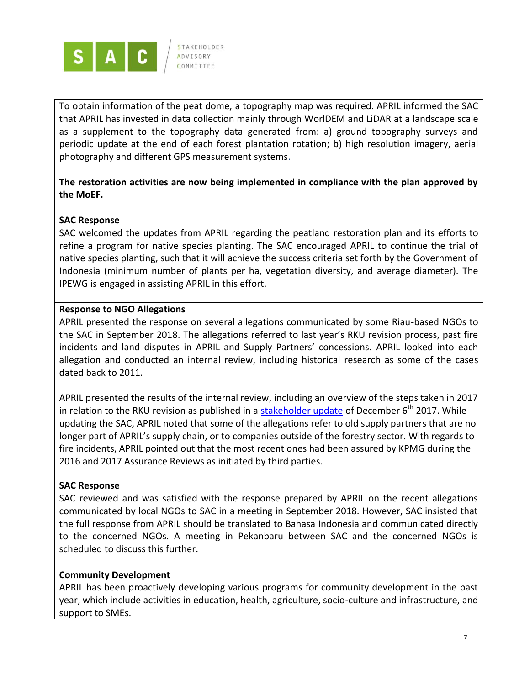

To obtain information of the peat dome, a topography map was required. APRIL informed the SAC that APRIL has invested in data collection mainly through WorlDEM and LiDAR at a landscape scale as a supplement to the topography data generated from: a) ground topography surveys and periodic update at the end of each forest plantation rotation; b) high resolution imagery, aerial photography and different GPS measurement systems.

**The restoration activities are now being implemented in compliance with the plan approved by the MoEF.**

### **SAC Response**

SAC welcomed the updates from APRIL regarding the peatland restoration plan and its efforts to refine a program for native species planting. The SAC encouraged APRIL to continue the trial of native species planting, such that it will achieve the success criteria set forth by the Government of Indonesia (minimum number of plants per ha, vegetation diversity, and average diameter). The IPEWG is engaged in assisting APRIL in this effort.

### **Response to NGO Allegations**

APRIL presented the response on several allegations communicated by some Riau-based NGOs to the SAC in September 2018. The allegations referred to last year's RKU revision process, past fire incidents and land disputes in APRIL and Supply Partners' concessions. APRIL looked into each allegation and conducted an internal review, including historical research as some of the cases dated back to 2011.

APRIL presented the results of the internal review, including an overview of the steps taken in 2017 in relation to the RKU revision as published in a **stakeholder update** of December  $6<sup>th</sup>$  2017. While updating the SAC, APRIL noted that some of the allegations refer to old supply partners that are no longer part of APRIL's supply chain, or to companies outside of the forestry sector. With regards to fire incidents, APRIL pointed out that the most recent ones had been assured by KPMG during the 2016 and 2017 Assurance Reviews as initiated by third parties.

### **SAC Response**

SAC reviewed and was satisfied with the response prepared by APRIL on the recent allegations communicated by local NGOs to SAC in a meeting in September 2018. However, SAC insisted that the full response from APRIL should be translated to Bahasa Indonesia and communicated directly to the concerned NGOs. A meeting in Pekanbaru between SAC and the concerned NGOs is scheduled to discuss this further.

### **Community Development**

APRIL has been proactively developing various programs for community development in the past year, which include activities in education, health, agriculture, socio-culture and infrastructure, and support to SMEs.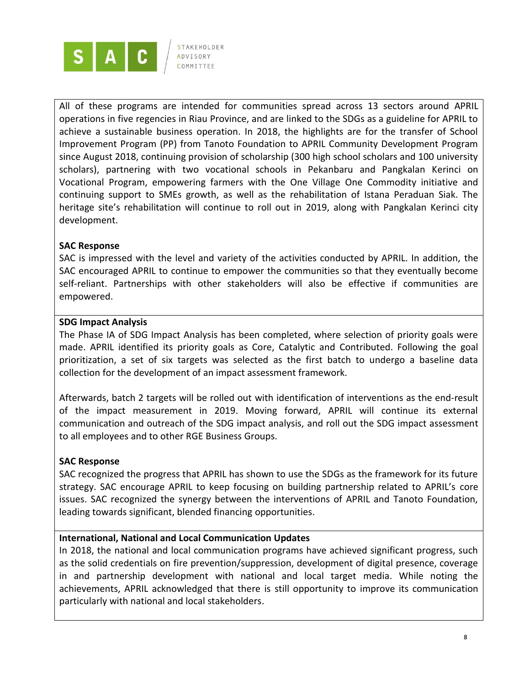

All of these programs are intended for communities spread across 13 sectors around APRIL operations in five regencies in Riau Province, and are linked to the SDGs as a guideline for APRIL to achieve a sustainable business operation. In 2018, the highlights are for the transfer of School Improvement Program (PP) from Tanoto Foundation to APRIL Community Development Program since August 2018, continuing provision of scholarship (300 high school scholars and 100 university scholars), partnering with two vocational schools in Pekanbaru and Pangkalan Kerinci on Vocational Program, empowering farmers with the One Village One Commodity initiative and continuing support to SMEs growth, as well as the rehabilitation of Istana Peraduan Siak. The heritage site's rehabilitation will continue to roll out in 2019, along with Pangkalan Kerinci city development.

### **SAC Response**

SAC is impressed with the level and variety of the activities conducted by APRIL. In addition, the SAC encouraged APRIL to continue to empower the communities so that they eventually become self-reliant. Partnerships with other stakeholders will also be effective if communities are empowered.

### **SDG Impact Analysis**

The Phase IA of SDG Impact Analysis has been completed, where selection of priority goals were made. APRIL identified its priority goals as Core, Catalytic and Contributed. Following the goal prioritization, a set of six targets was selected as the first batch to undergo a baseline data collection for the development of an impact assessment framework.

Afterwards, batch 2 targets will be rolled out with identification of interventions as the end-result of the impact measurement in 2019. Moving forward, APRIL will continue its external communication and outreach of the SDG impact analysis, and roll out the SDG impact assessment to all employees and to other RGE Business Groups.

### **SAC Response**

SAC recognized the progress that APRIL has shown to use the SDGs as the framework for its future strategy. SAC encourage APRIL to keep focusing on building partnership related to APRIL's core issues. SAC recognized the synergy between the interventions of APRIL and Tanoto Foundation, leading towards significant, blended financing opportunities.

### **International, National and Local Communication Updates**

In 2018, the national and local communication programs have achieved significant progress, such as the solid credentials on fire prevention/suppression, development of digital presence, coverage in and partnership development with national and local target media. While noting the achievements, APRIL acknowledged that there is still opportunity to improve its communication particularly with national and local stakeholders.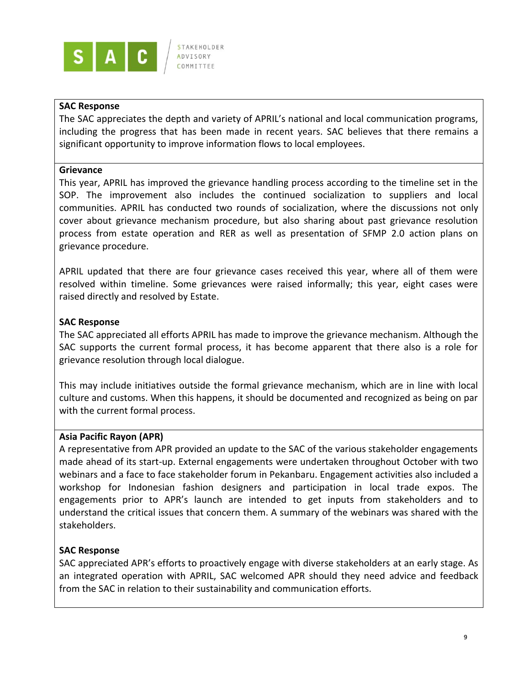

### **SAC Response**

The SAC appreciates the depth and variety of APRIL's national and local communication programs, including the progress that has been made in recent years. SAC believes that there remains a significant opportunity to improve information flows to local employees.

#### **Grievance**

This year, APRIL has improved the grievance handling process according to the timeline set in the SOP. The improvement also includes the continued socialization to suppliers and local communities. APRIL has conducted two rounds of socialization, where the discussions not only cover about grievance mechanism procedure, but also sharing about past grievance resolution process from estate operation and RER as well as presentation of SFMP 2.0 action plans on grievance procedure.

APRIL updated that there are four grievance cases received this year, where all of them were resolved within timeline. Some grievances were raised informally; this year, eight cases were raised directly and resolved by Estate.

#### **SAC Response**

The SAC appreciated all efforts APRIL has made to improve the grievance mechanism. Although the SAC supports the current formal process, it has become apparent that there also is a role for grievance resolution through local dialogue.

This may include initiatives outside the formal grievance mechanism, which are in line with local culture and customs. When this happens, it should be documented and recognized as being on par with the current formal process.

#### **Asia Pacific Rayon (APR)**

A representative from APR provided an update to the SAC of the various stakeholder engagements made ahead of its start-up. External engagements were undertaken throughout October with two webinars and a face to face stakeholder forum in Pekanbaru. Engagement activities also included a workshop for Indonesian fashion designers and participation in local trade expos. The engagements prior to APR's launch are intended to get inputs from stakeholders and to understand the critical issues that concern them. A summary of the webinars was shared with the stakeholders.

#### **SAC Response**

SAC appreciated APR's efforts to proactively engage with diverse stakeholders at an early stage. As an integrated operation with APRIL, SAC welcomed APR should they need advice and feedback from the SAC in relation to their sustainability and communication efforts.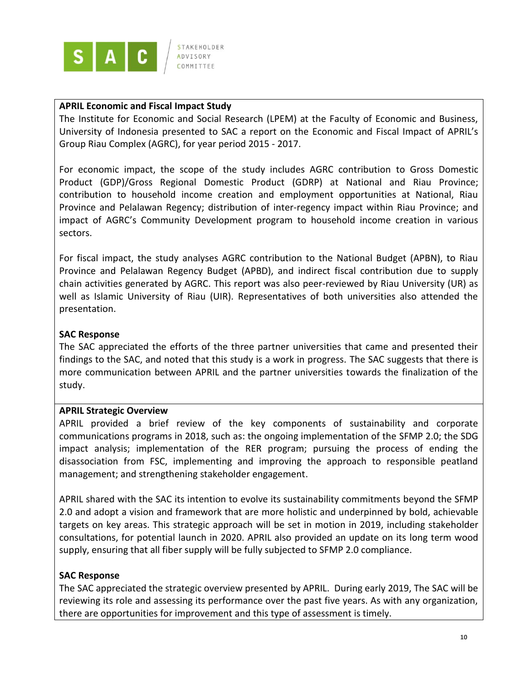

### **APRIL Economic and Fiscal Impact Study**

The Institute for Economic and Social Research (LPEM) at the Faculty of Economic and Business, University of Indonesia presented to SAC a report on the Economic and Fiscal Impact of APRIL's Group Riau Complex (AGRC), for year period 2015 - 2017.

For economic impact, the scope of the study includes AGRC contribution to Gross Domestic Product (GDP)/Gross Regional Domestic Product (GDRP) at National and Riau Province; contribution to household income creation and employment opportunities at National, Riau Province and Pelalawan Regency; distribution of inter-regency impact within Riau Province; and impact of AGRC's Community Development program to household income creation in various sectors.

For fiscal impact, the study analyses AGRC contribution to the National Budget (APBN), to Riau Province and Pelalawan Regency Budget (APBD), and indirect fiscal contribution due to supply chain activities generated by AGRC. This report was also peer-reviewed by Riau University (UR) as well as Islamic University of Riau (UIR). Representatives of both universities also attended the presentation.

# **SAC Response**

The SAC appreciated the efforts of the three partner universities that came and presented their findings to the SAC, and noted that this study is a work in progress. The SAC suggests that there is more communication between APRIL and the partner universities towards the finalization of the study.

### **APRIL Strategic Overview**

APRIL provided a brief review of the key components of sustainability and corporate communications programs in 2018, such as: the ongoing implementation of the SFMP 2.0; the SDG impact analysis; implementation of the RER program; pursuing the process of ending the disassociation from FSC, implementing and improving the approach to responsible peatland management; and strengthening stakeholder engagement.

APRIL shared with the SAC its intention to evolve its sustainability commitments beyond the SFMP 2.0 and adopt a vision and framework that are more holistic and underpinned by bold, achievable targets on key areas. This strategic approach will be set in motion in 2019, including stakeholder consultations, for potential launch in 2020. APRIL also provided an update on its long term wood supply, ensuring that all fiber supply will be fully subjected to SFMP 2.0 compliance.

# **SAC Response**

The SAC appreciated the strategic overview presented by APRIL. During early 2019, The SAC will be reviewing its role and assessing its performance over the past five years. As with any organization, there are opportunities for improvement and this type of assessment is timely.